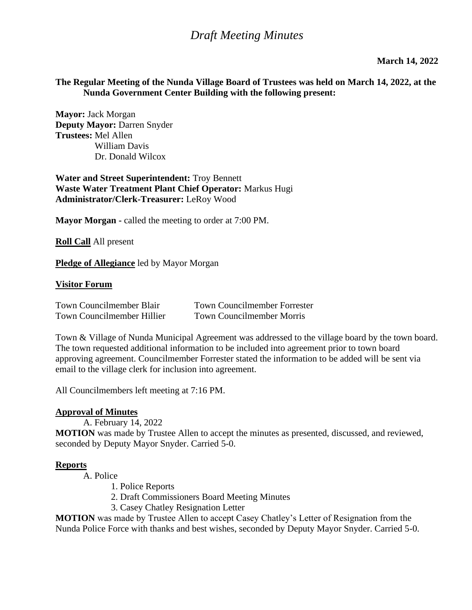#### **The Regular Meeting of the Nunda Village Board of Trustees was held on March 14, 2022, at the Nunda Government Center Building with the following present:**

**Mayor:** Jack Morgan **Deputy Mayor:** Darren Snyder **Trustees:** Mel Allen William Davis Dr. Donald Wilcox

**Water and Street Superintendent:** Troy Bennett **Waste Water Treatment Plant Chief Operator:** Markus Hugi **Administrator/Clerk-Treasurer:** LeRoy Wood

**Mayor Morgan -** called the meeting to order at 7:00 PM.

**Roll Call** All present

**Pledge of Allegiance** led by Mayor Morgan

#### **Visitor Forum**

| Town Councilmember Blair          | <b>Town Councilmember Forrester</b> |
|-----------------------------------|-------------------------------------|
| <b>Town Councilmember Hillier</b> | <b>Town Councilmember Morris</b>    |

Town & Village of Nunda Municipal Agreement was addressed to the village board by the town board. The town requested additional information to be included into agreement prior to town board approving agreement. Councilmember Forrester stated the information to be added will be sent via email to the village clerk for inclusion into agreement.

All Councilmembers left meeting at 7:16 PM.

#### **Approval of Minutes**

A. February 14, 2022

**MOTION** was made by Trustee Allen to accept the minutes as presented, discussed, and reviewed, seconded by Deputy Mayor Snyder. Carried 5-0.

#### **Reports**

A. Police

- 1. Police Reports
- 2. Draft Commissioners Board Meeting Minutes
- 3. Casey Chatley Resignation Letter

**MOTION** was made by Trustee Allen to accept Casey Chatley's Letter of Resignation from the Nunda Police Force with thanks and best wishes, seconded by Deputy Mayor Snyder. Carried 5-0.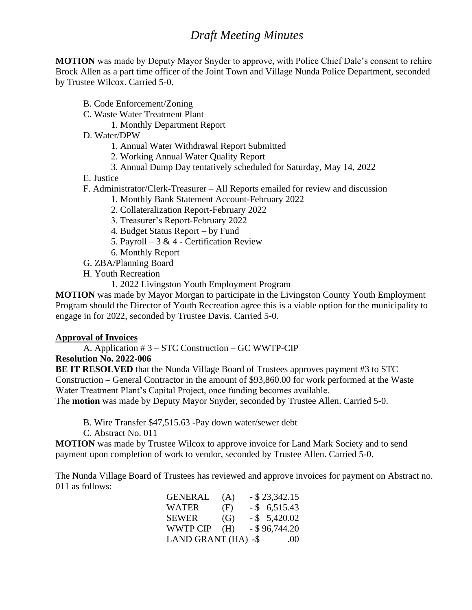**MOTION** was made by Deputy Mayor Snyder to approve, with Police Chief Dale's consent to rehire Brock Allen as a part time officer of the Joint Town and Village Nunda Police Department, seconded by Trustee Wilcox. Carried 5-0.

- B. Code Enforcement/Zoning
- C. Waste Water Treatment Plant
	- 1. Monthly Department Report
- D. Water/DPW
	- 1. Annual Water Withdrawal Report Submitted
	- 2. Working Annual Water Quality Report
	- 3. Annual Dump Day tentatively scheduled for Saturday, May 14, 2022
- E. Justice
- F. Administrator/Clerk-Treasurer All Reports emailed for review and discussion
	- 1. Monthly Bank Statement Account-February 2022
	- 2. Collateralization Report-February 2022
	- 3. Treasurer's Report-February 2022
	- 4. Budget Status Report by Fund
	- 5. Payroll  $3 & 4$  Certification Review
	- 6. Monthly Report
- G. ZBA/Planning Board
- H. Youth Recreation
	- 1. 2022 Livingston Youth Employment Program

**MOTION** was made by Mayor Morgan to participate in the Livingston County Youth Employment Program should the Director of Youth Recreation agree this is a viable option for the municipality to engage in for 2022, seconded by Trustee Davis. Carried 5-0.

#### **Approval of Invoices**

A. Application # 3 – STC Construction – GC WWTP-CIP

### **Resolution No. 2022-006**

**BE IT RESOLVED** that the Nunda Village Board of Trustees approves payment #3 to STC Construction – General Contractor in the amount of \$93,860.00 for work performed at the Waste Water Treatment Plant's Capital Project, once funding becomes available.

The **motion** was made by Deputy Mayor Snyder, seconded by Trustee Allen. Carried 5-0.

B. Wire Transfer \$47,515.63 -Pay down water/sewer debt

C. Abstract No. 011

**MOTION** was made by Trustee Wilcox to approve invoice for Land Mark Society and to send payment upon completion of work to vendor, seconded by Trustee Allen. Carried 5-0.

The Nunda Village Board of Trustees has reviewed and approve invoices for payment on Abstract no. 011 as follows:

| <b>GENERAL</b>      | (A) | $-$ \$ 23,342.15 |
|---------------------|-----|------------------|
| <b>WATER</b>        | (F) | $-$ \$ 6,515.43  |
| <b>SEWER</b>        | (G) | $-$ \$ 5,420.02  |
| WWTP CIP            | (H) | $-$ \$96,744.20  |
| LAND GRANT (HA) -\$ |     | (0()             |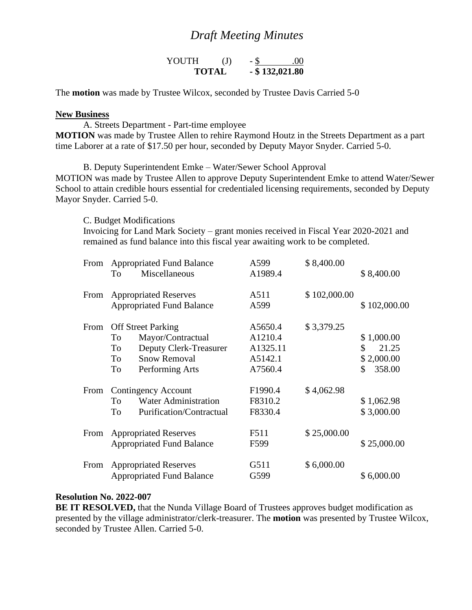| YOUTH        | $\mathrm{J}$ |                   | .00 |
|--------------|--------------|-------------------|-----|
| <b>TOTAL</b> |              | $-$ \$ 132,021.80 |     |

The **motion** was made by Trustee Wilcox, seconded by Trustee Davis Carried 5-0

#### **New Business**

A. Streets Department - Part-time employee

**MOTION** was made by Trustee Allen to rehire Raymond Houtz in the Streets Department as a part time Laborer at a rate of \$17.50 per hour, seconded by Deputy Mayor Snyder. Carried 5-0.

B. Deputy Superintendent Emke – Water/Sewer School Approval MOTION was made by Trustee Allen to approve Deputy Superintendent Emke to attend Water/Sewer School to attain credible hours essential for credentialed licensing requirements, seconded by Deputy Mayor Snyder. Carried 5-0.

C. Budget Modifications Invoicing for Land Mark Society – grant monies received in Fiscal Year 2020-2021 and remained as fund balance into this fiscal year awaiting work to be completed.

| From | <b>Appropriated Fund Balance</b> |                                  | A599     | \$8,400.00   |              |
|------|----------------------------------|----------------------------------|----------|--------------|--------------|
|      | To                               | Miscellaneous                    | A1989.4  |              | \$8,400.00   |
| From |                                  | <b>Appropriated Reserves</b>     | A511     | \$102,000.00 |              |
|      |                                  | <b>Appropriated Fund Balance</b> | A599     |              | \$102,000.00 |
| From |                                  | <b>Off Street Parking</b>        | A5650.4  | \$3,379.25   |              |
|      | To                               | Mayor/Contractual                | A1210.4  |              | \$1,000.00   |
|      | To                               | Deputy Clerk-Treasurer           | A1325.11 |              | \$<br>21.25  |
|      | To                               | <b>Snow Removal</b>              | A5142.1  |              | \$2,000.00   |
|      | To                               | Performing Arts                  | A7560.4  |              | 358.00<br>\$ |
| From |                                  | Contingency Account              | F1990.4  | \$4,062.98   |              |
|      | To                               | <b>Water Administration</b>      | F8310.2  |              | \$1,062.98   |
|      | To                               | Purification/Contractual         | F8330.4  |              | \$3,000.00   |
| From |                                  | <b>Appropriated Reserves</b>     | F511     | \$25,000.00  |              |
|      |                                  | <b>Appropriated Fund Balance</b> | F599     |              | \$25,000.00  |
| From |                                  | <b>Appropriated Reserves</b>     | G511     | \$6,000.00   |              |
|      |                                  | <b>Appropriated Fund Balance</b> | G599     |              | \$6,000.00   |

#### **Resolution No. 2022-007**

**BE IT RESOLVED,** that the Nunda Village Board of Trustees approves budget modification as presented by the village administrator/clerk-treasurer. The **motion** was presented by Trustee Wilcox, seconded by Trustee Allen. Carried 5-0.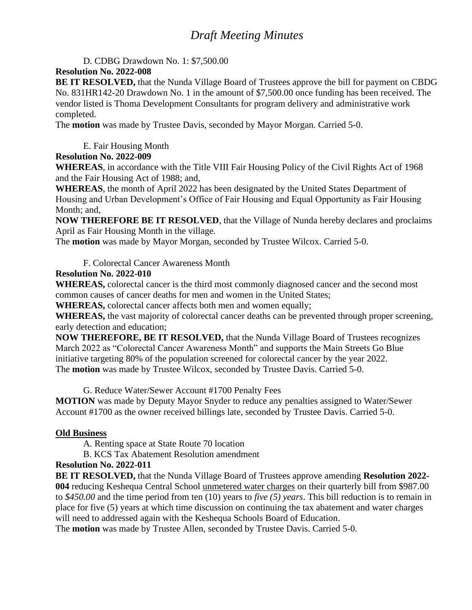D. CDBG Drawdown No. 1: \$7,500.00

### **Resolution No. 2022-008**

**BE IT RESOLVED,** that the Nunda Village Board of Trustees approve the bill for payment on CBDG No. 831HR142-20 Drawdown No. 1 in the amount of \$7,500.00 once funding has been received. The vendor listed is Thoma Development Consultants for program delivery and administrative work completed.

The **motion** was made by Trustee Davis, seconded by Mayor Morgan. Carried 5-0.

E. Fair Housing Month

#### **Resolution No. 2022-009**

**WHEREAS**, in accordance with the Title VIII Fair Housing Policy of the Civil Rights Act of 1968 and the Fair Housing Act of 1988; and,

**WHEREAS**, the month of April 2022 has been designated by the United States Department of Housing and Urban Development's Office of Fair Housing and Equal Opportunity as Fair Housing Month; and,

**NOW THEREFORE BE IT RESOLVED**, that the Village of Nunda hereby declares and proclaims April as Fair Housing Month in the village.

The **motion** was made by Mayor Morgan, seconded by Trustee Wilcox. Carried 5-0.

F. Colorectal Cancer Awareness Month

#### **Resolution No. 2022-010**

**WHEREAS,** colorectal cancer is the third most commonly diagnosed cancer and the second most common causes of cancer deaths for men and women in the United States;

**WHEREAS,** colorectal cancer affects both men and women equally;

**WHEREAS,** the vast majority of colorectal cancer deaths can be prevented through proper screening, early detection and education;

**NOW THEREFORE, BE IT RESOLVED,** that the Nunda Village Board of Trustees recognizes March 2022 as "Colorectal Cancer Awareness Month" and supports the Main Streets Go Blue initiative targeting 80% of the population screened for colorectal cancer by the year 2022. The **motion** was made by Trustee Wilcox, seconded by Trustee Davis. Carried 5-0.

G. Reduce Water/Sewer Account #1700 Penalty Fees

**MOTION** was made by Deputy Mayor Snyder to reduce any penalties assigned to Water/Sewer Account #1700 as the owner received billings late, seconded by Trustee Davis. Carried 5-0.

### **Old Business**

A. Renting space at State Route 70 location

B. KCS Tax Abatement Resolution amendment

#### **Resolution No. 2022-011**

**BE IT RESOLVED,** that the Nunda Village Board of Trustees approve amending **Resolution 2022- 004** reducing Keshequa Central School unmetered water charges on their quarterly bill from \$987.00 to *\$450.00* and the time period from ten (10) years to *five (5) years*. This bill reduction is to remain in place for five (5) years at which time discussion on continuing the tax abatement and water charges will need to addressed again with the Keshequa Schools Board of Education.

The **motion** was made by Trustee Allen, seconded by Trustee Davis. Carried 5-0.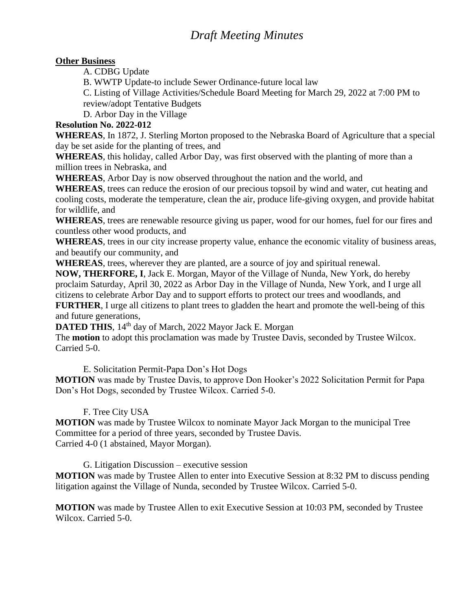### **Other Business**

A. CDBG Update

B. WWTP Update-to include Sewer Ordinance-future local law

C. Listing of Village Activities/Schedule Board Meeting for March 29, 2022 at 7:00 PM to review/adopt Tentative Budgets

D. Arbor Day in the Village

## **Resolution No. 2022-012**

**WHEREAS**, In 1872, J. Sterling Morton proposed to the Nebraska Board of Agriculture that a special day be set aside for the planting of trees, and

**WHEREAS**, this holiday, called Arbor Day, was first observed with the planting of more than a million trees in Nebraska, and

**WHEREAS**, Arbor Day is now observed throughout the nation and the world, and

**WHEREAS**, trees can reduce the erosion of our precious topsoil by wind and water, cut heating and cooling costs, moderate the temperature, clean the air, produce life-giving oxygen, and provide habitat for wildlife, and

**WHEREAS**, trees are renewable resource giving us paper, wood for our homes, fuel for our fires and countless other wood products, and

**WHEREAS**, trees in our city increase property value, enhance the economic vitality of business areas, and beautify our community, and

**WHEREAS**, trees, wherever they are planted, are a source of joy and spiritual renewal.

**NOW, THERFORE, I**, Jack E. Morgan, Mayor of the Village of Nunda, New York, do hereby proclaim Saturday, April 30, 2022 as Arbor Day in the Village of Nunda, New York, and I urge all citizens to celebrate Arbor Day and to support efforts to protect our trees and woodlands, and **FURTHER**, I urge all citizens to plant trees to gladden the heart and promote the well-being of this and future generations,

**DATED THIS**, 14<sup>th</sup> day of March, 2022 Mayor Jack E. Morgan

The **motion** to adopt this proclamation was made by Trustee Davis, seconded by Trustee Wilcox. Carried 5-0.

E. Solicitation Permit-Papa Don's Hot Dogs

**MOTION** was made by Trustee Davis, to approve Don Hooker's 2022 Solicitation Permit for Papa Don's Hot Dogs, seconded by Trustee Wilcox. Carried 5-0.

F. Tree City USA

**MOTION** was made by Trustee Wilcox to nominate Mayor Jack Morgan to the municipal Tree Committee for a period of three years, seconded by Trustee Davis. Carried 4-0 (1 abstained, Mayor Morgan).

G. Litigation Discussion – executive session

**MOTION** was made by Trustee Allen to enter into Executive Session at 8:32 PM to discuss pending litigation against the Village of Nunda, seconded by Trustee Wilcox. Carried 5-0.

**MOTION** was made by Trustee Allen to exit Executive Session at 10:03 PM, seconded by Trustee Wilcox. Carried 5-0.